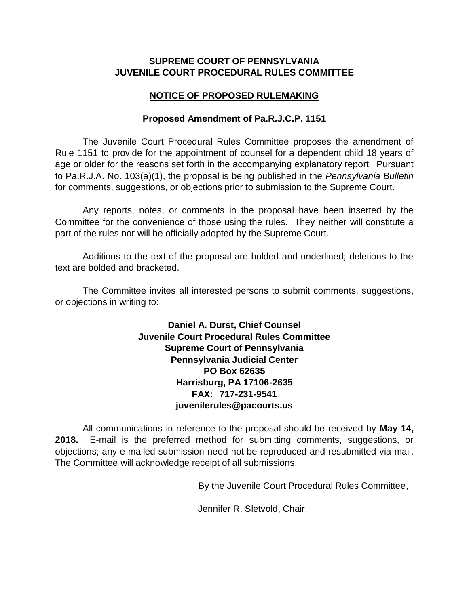## **SUPREME COURT OF PENNSYLVANIA JUVENILE COURT PROCEDURAL RULES COMMITTEE**

## **NOTICE OF PROPOSED RULEMAKING**

## **Proposed Amendment of Pa.R.J.C.P. 1151**

The Juvenile Court Procedural Rules Committee proposes the amendment of Rule 1151 to provide for the appointment of counsel for a dependent child 18 years of age or older for the reasons set forth in the accompanying explanatory report. Pursuant to Pa.R.J.A. No. 103(a)(1), the proposal is being published in the *Pennsylvania Bulletin* for comments, suggestions, or objections prior to submission to the Supreme Court.

Any reports, notes, or comments in the proposal have been inserted by the Committee for the convenience of those using the rules. They neither will constitute a part of the rules nor will be officially adopted by the Supreme Court.

Additions to the text of the proposal are bolded and underlined; deletions to the text are bolded and bracketed.

The Committee invites all interested persons to submit comments, suggestions, or objections in writing to:

> **Daniel A. Durst, Chief Counsel Juvenile Court Procedural Rules Committee Supreme Court of Pennsylvania Pennsylvania Judicial Center PO Box 62635 Harrisburg, PA 17106-2635 FAX: 717-231-9541 juvenilerules@pacourts.us**

All communications in reference to the proposal should be received by **May 14, 2018.** E-mail is the preferred method for submitting comments, suggestions, or objections; any e-mailed submission need not be reproduced and resubmitted via mail. The Committee will acknowledge receipt of all submissions.

By the Juvenile Court Procedural Rules Committee,

Jennifer R. Sletvold, Chair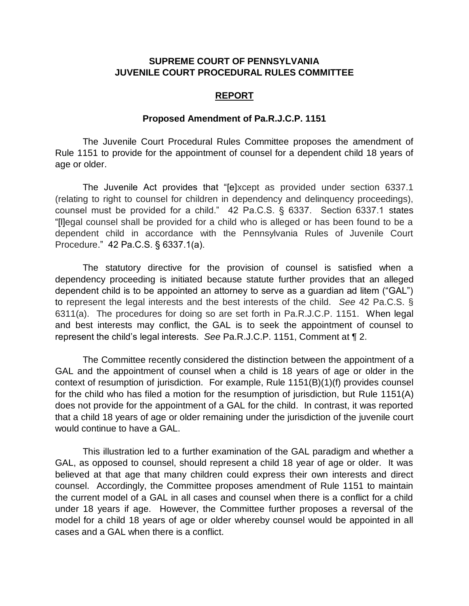## **SUPREME COURT OF PENNSYLVANIA JUVENILE COURT PROCEDURAL RULES COMMITTEE**

#### **REPORT**

#### **Proposed Amendment of Pa.R.J.C.P. 1151**

The Juvenile Court Procedural Rules Committee proposes the amendment of Rule 1151 to provide for the appointment of counsel for a dependent child 18 years of age or older.

The Juvenile Act provides that "[e]xcept as provided under section 6337.1 (relating to right to counsel for children in dependency and delinquency proceedings), counsel must be provided for a child." 42 Pa.C.S. § 6337. Section 6337.1 states "[l]egal counsel shall be provided for a child who is alleged or has been found to be a dependent child in accordance with the Pennsylvania Rules of Juvenile Court Procedure." 42 Pa.C.S. § 6337.1(a).

The statutory directive for the provision of counsel is satisfied when a dependency proceeding is initiated because statute further provides that an alleged dependent child is to be appointed an attorney to serve as a guardian ad litem ("GAL") to represent the legal interests and the best interests of the child. *See* 42 Pa.C.S. § 6311(a). The procedures for doing so are set forth in Pa.R.J.C.P. 1151. When legal and best interests may conflict, the GAL is to seek the appointment of counsel to represent the child's legal interests. *See* Pa.R.J.C.P. 1151, Comment at ¶ 2.

The Committee recently considered the distinction between the appointment of a GAL and the appointment of counsel when a child is 18 years of age or older in the context of resumption of jurisdiction. For example, Rule 1151(B)(1)(f) provides counsel for the child who has filed a motion for the resumption of jurisdiction, but Rule 1151(A) does not provide for the appointment of a GAL for the child. In contrast, it was reported that a child 18 years of age or older remaining under the jurisdiction of the juvenile court would continue to have a GAL.

This illustration led to a further examination of the GAL paradigm and whether a GAL, as opposed to counsel, should represent a child 18 year of age or older. It was believed at that age that many children could express their own interests and direct counsel. Accordingly, the Committee proposes amendment of Rule 1151 to maintain the current model of a GAL in all cases and counsel when there is a conflict for a child under 18 years if age. However, the Committee further proposes a reversal of the model for a child 18 years of age or older whereby counsel would be appointed in all cases and a GAL when there is a conflict.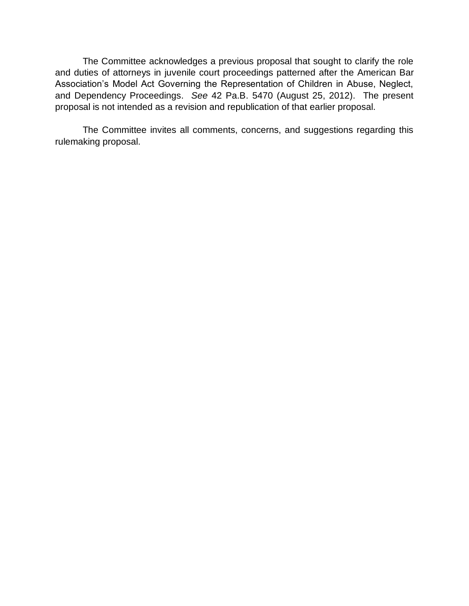The Committee acknowledges a previous proposal that sought to clarify the role and duties of attorneys in juvenile court proceedings patterned after the American Bar Association's Model Act Governing the Representation of Children in Abuse, Neglect, and Dependency Proceedings. *See* 42 Pa.B. 5470 (August 25, 2012). The present proposal is not intended as a revision and republication of that earlier proposal.

The Committee invites all comments, concerns, and suggestions regarding this rulemaking proposal.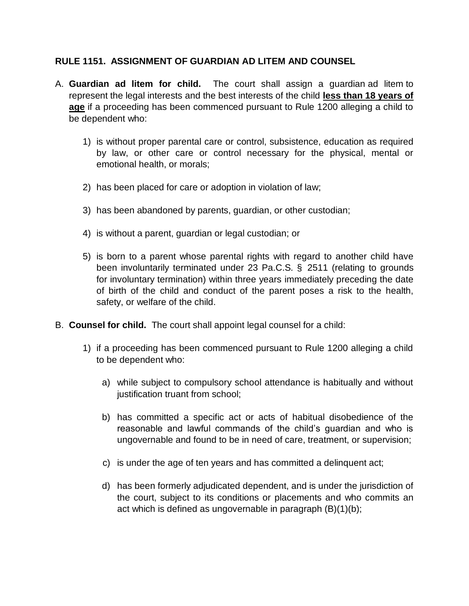## **RULE 1151. ASSIGNMENT OF GUARDIAN AD LITEM AND COUNSEL**

- A. **Guardian ad litem for child.** The court shall assign a guardian ad litem to represent the legal interests and the best interests of the child **less than 18 years of age** if a proceeding has been commenced pursuant to Rule 1200 alleging a child to be dependent who:
	- 1) is without proper parental care or control, subsistence, education as required by law, or other care or control necessary for the physical, mental or emotional health, or morals;
	- 2) has been placed for care or adoption in violation of law;
	- 3) has been abandoned by parents, guardian, or other custodian;
	- 4) is without a parent, guardian or legal custodian; or
	- 5) is born to a parent whose parental rights with regard to another child have been involuntarily terminated under 23 Pa.C.S. § 2511 (relating to grounds for involuntary termination) within three years immediately preceding the date of birth of the child and conduct of the parent poses a risk to the health, safety, or welfare of the child.
- B. **Counsel for child.** The court shall appoint legal counsel for a child:
	- 1) if a proceeding has been commenced pursuant to Rule 1200 alleging a child to be dependent who:
		- a) while subject to compulsory school attendance is habitually and without justification truant from school;
		- b) has committed a specific act or acts of habitual disobedience of the reasonable and lawful commands of the child's guardian and who is ungovernable and found to be in need of care, treatment, or supervision;
		- c) is under the age of ten years and has committed a delinquent act;
		- d) has been formerly adjudicated dependent, and is under the jurisdiction of the court, subject to its conditions or placements and who commits an act which is defined as ungovernable in paragraph (B)(1)(b);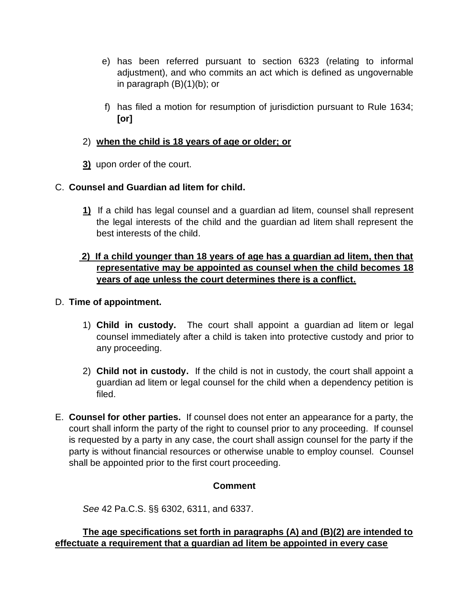- e) has been referred pursuant to section 6323 (relating to informal adjustment), and who commits an act which is defined as ungovernable in paragraph (B)(1)(b); or
- f) has filed a motion for resumption of jurisdiction pursuant to Rule 1634; **[or]**

# 2) **when the child is 18 years of age or older; or**

**3)** upon order of the court.

# C. **Counsel and Guardian ad litem for child.**

**1)** If a child has legal counsel and a guardian ad litem, counsel shall represent the legal interests of the child and the guardian ad litem shall represent the best interests of the child.

# **2) If a child younger than 18 years of age has a guardian ad litem, then that representative may be appointed as counsel when the child becomes 18 years of age unless the court determines there is a conflict.**

## D. **Time of appointment.**

- 1) **Child in custody.** The court shall appoint a guardian ad litem or legal counsel immediately after a child is taken into protective custody and prior to any proceeding.
- 2) **Child not in custody.** If the child is not in custody, the court shall appoint a guardian ad litem or legal counsel for the child when a dependency petition is filed.
- E. **Counsel for other parties.** If counsel does not enter an appearance for a party, the court shall inform the party of the right to counsel prior to any proceeding. If counsel is requested by a party in any case, the court shall assign counsel for the party if the party is without financial resources or otherwise unable to employ counsel. Counsel shall be appointed prior to the first court proceeding.

# **Comment**

*See* 42 Pa.C.S. §§ 6302, 6311, and 6337.

## **The age specifications set forth in paragraphs (A) and (B)(2) are intended to effectuate a requirement that a guardian ad litem be appointed in every case**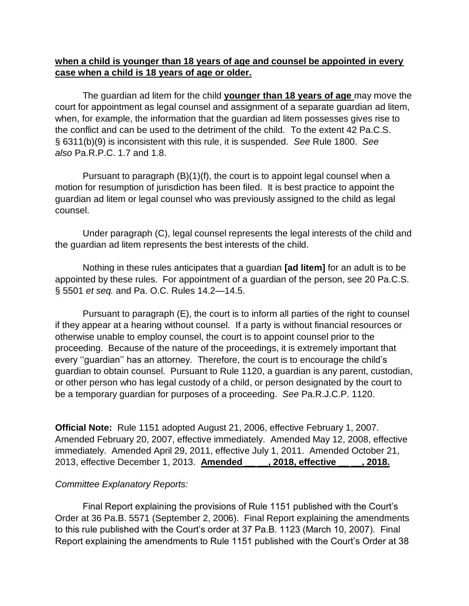## **when a child is younger than 18 years of age and counsel be appointed in every case when a child is 18 years of age or older.**

The guardian ad litem for the child **younger than 18 years of age** may move the court for appointment as legal counsel and assignment of a separate guardian ad litem, when, for example, the information that the guardian ad litem possesses gives rise to the conflict and can be used to the detriment of the child. To the extent 42 Pa.C.S. § 6311(b)(9) is inconsistent with this rule, it is suspended. *See* Rule 1800. *See also* Pa.R.P.C. 1.7 and 1.8.

Pursuant to paragraph (B)(1)(f), the court is to appoint legal counsel when a motion for resumption of jurisdiction has been filed. It is best practice to appoint the guardian ad litem or legal counsel who was previously assigned to the child as legal counsel.

Under paragraph (C), legal counsel represents the legal interests of the child and the guardian ad litem represents the best interests of the child.

Nothing in these rules anticipates that a guardian **[ad litem]** for an adult is to be appointed by these rules. For appointment of a guardian of the person, see 20 Pa.C.S. § 5501 *et seq.* and Pa. O.C. Rules 14.2—14.5.

Pursuant to paragraph (E), the court is to inform all parties of the right to counsel if they appear at a hearing without counsel. If a party is without financial resources or otherwise unable to employ counsel, the court is to appoint counsel prior to the proceeding. Because of the nature of the proceedings, it is extremely important that every ''guardian'' has an attorney. Therefore, the court is to encourage the child's guardian to obtain counsel. Pursuant to Rule 1120, a guardian is any parent, custodian, or other person who has legal custody of a child, or person designated by the court to be a temporary guardian for purposes of a proceeding. *See* Pa.R.J.C.P. 1120.

**Official Note:** Rule 1151 adopted August 21, 2006, effective February 1, 2007. Amended February 20, 2007, effective immediately. Amended May 12, 2008, effective immediately. Amended April 29, 2011, effective July 1, 2011. Amended October 21, 2013, effective December 1, 2013. **Amended \_\_ \_\_, 2018, effective \_\_ \_\_, 2018.**

#### *Committee Explanatory Reports:*

Final Report explaining the provisions of Rule 1151 published with the Court's Order at 36 Pa.B. 5571 (September 2, 2006). Final Report explaining the amendments to this rule published with the Court's order at 37 Pa.B. 1123 (March 10, 2007). Final Report explaining the amendments to Rule 1151 published with the Court's Order at 38